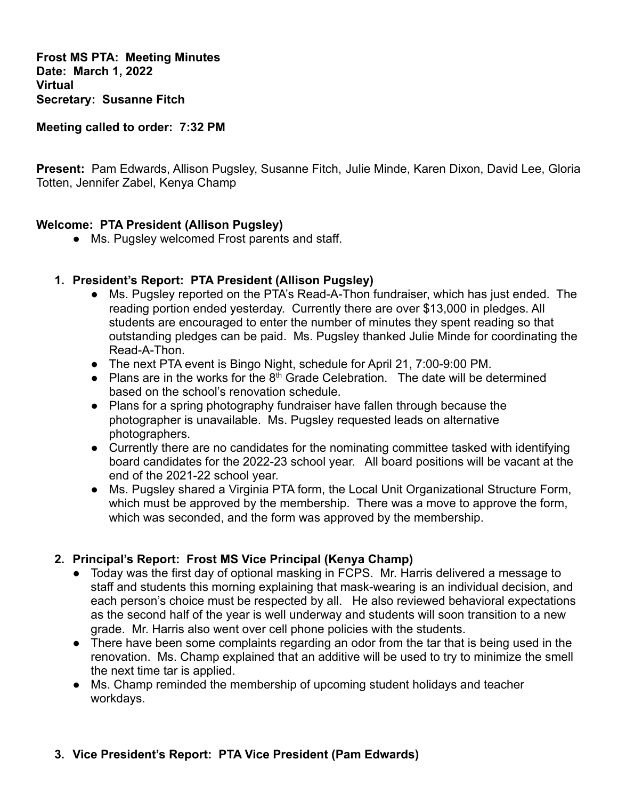**Frost MS PTA: Meeting Minutes Date: March 1, 2022 Virtual Secretary: Susanne Fitch**

**Meeting called to order: 7:32 PM**

**Present:** Pam Edwards, Allison Pugsley, Susanne Fitch, Julie Minde, Karen Dixon, David Lee, Gloria Totten, Jennifer Zabel, Kenya Champ

### **Welcome: PTA President (Allison Pugsley)**

**●** Ms. Pugsley welcomed Frost parents and staff.

### **1. President's Report: PTA President (Allison Pugsley)**

- **●** Ms. Pugsley reported on the PTA's Read-A-Thon fundraiser, which has just ended. The reading portion ended yesterday. Currently there are over \$13,000 in pledges. All students are encouraged to enter the number of minutes they spent reading so that outstanding pledges can be paid. Ms. Pugsley thanked Julie Minde for coordinating the Read-A-Thon.
- **●** The next PTA event is Bingo Night, schedule for April 21, 7:00-9:00 PM.
- **•** Plans are in the works for the 8<sup>th</sup> Grade Celebration. The date will be determined based on the school's renovation schedule.
- **●** Plans for a spring photography fundraiser have fallen through because the photographer is unavailable. Ms. Pugsley requested leads on alternative photographers.
- **●** Currently there are no candidates for the nominating committee tasked with identifying board candidates for the 2022-23 school year. All board positions will be vacant at the end of the 2021-22 school year.
- Ms. Pugsley shared a Virginia PTA form, the Local Unit Organizational Structure Form, which must be approved by the membership. There was a move to approve the form, which was seconded, and the form was approved by the membership.

### **2. Principal's Report: Frost MS Vice Principal (Kenya Champ)**

- Today was the first day of optional masking in FCPS. Mr. Harris delivered a message to staff and students this morning explaining that mask-wearing is an individual decision, and each person's choice must be respected by all. He also reviewed behavioral expectations as the second half of the year is well underway and students will soon transition to a new grade. Mr. Harris also went over cell phone policies with the students.
- There have been some complaints regarding an odor from the tar that is being used in the renovation. Ms. Champ explained that an additive will be used to try to minimize the smell the next time tar is applied.
- Ms. Champ reminded the membership of upcoming student holidays and teacher workdays.

### **3. Vice President's Report: PTA Vice President (Pam Edwards)**